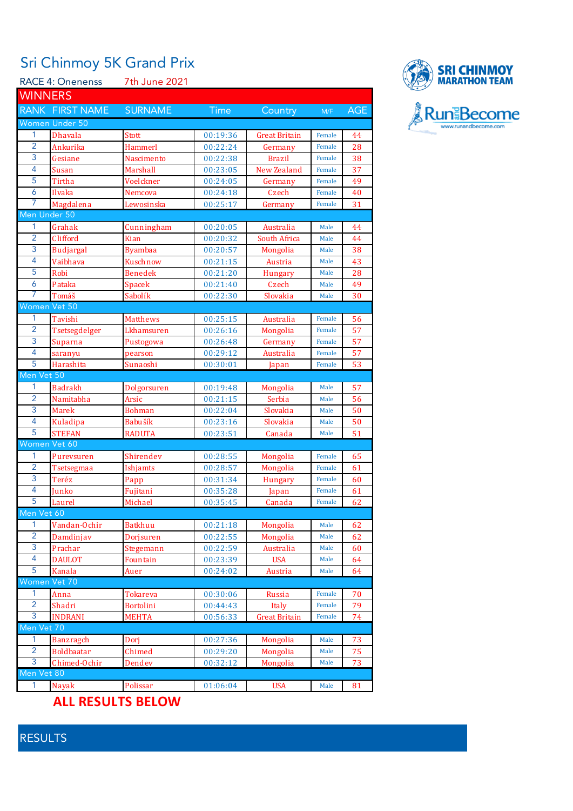## Sri Chinmoy 5K Grand Prix

|                | <b>RACE 4: Onenenss</b> | 7th June 2021    |             |                      |        |     |  |  |  |
|----------------|-------------------------|------------------|-------------|----------------------|--------|-----|--|--|--|
| <b>WINNERS</b> |                         |                  |             |                      |        |     |  |  |  |
|                | RANK FIRST NAME         | <b>SURNAME</b>   | <b>Time</b> | Country              | M/F    | AGE |  |  |  |
|                | Women Under 50          |                  |             |                      |        |     |  |  |  |
| 1              | <b>Dhavala</b>          | Stott            | 00:19:36    | Great Britain        | Female | 44  |  |  |  |
| $\overline{2}$ | Ankurika                | Hammerl          | 00:22:24    | Germany              | Female | 28  |  |  |  |
| 3              | Gesiane                 | Nascimento       | 00:22:38    | Brazil               | Female | 38  |  |  |  |
| $\overline{4}$ | Susan                   | Marshall         | 00:23:05    | New Zealand          | Female | 37  |  |  |  |
| 5              | Tirtha                  | Voelckner        | 00:24:05    | Germany              | Female | 49  |  |  |  |
| 6              | Ilvaka                  | Nemcova          | 00:24:18    | Czech                | Female | 40  |  |  |  |
| 7              | Magdalena               | Lewosinska       | 00:25:17    | Germany              | Female | 31  |  |  |  |
| Men Under 50   |                         |                  |             |                      |        |     |  |  |  |
| 1              | Grahak                  | Cunningham       | 00:20:05    | Australia            | Male   | 44  |  |  |  |
| $\overline{2}$ | Clifford                | Kian             | 00:20:32    | South Africa         | Male   | 44  |  |  |  |
| 3              | <b>Budjargal</b>        | Byambaa          | 00:20:57    | Mongolia             | Male   | 38  |  |  |  |
| 4              | Vaibhava                | Kuschnow         | 00:21:15    | Austria              | Male   | 43  |  |  |  |
| 5              | Robi                    | Benedek          | 00:21:20    | Hungary              | Male   | 28  |  |  |  |
| 6              | Pataka                  | Spacek           | 00:21:40    | Czech                | Male   | 49  |  |  |  |
| 7              | Tomáš                   | Sabolík          | 00:22:30    | Slovakia             | Male   | 30  |  |  |  |
| Women Vet 50   |                         |                  |             |                      |        |     |  |  |  |
| 1              | Tavishi                 | Matthews         | 00:25:15    | Australia            | Female | 56  |  |  |  |
| $\overline{2}$ | Tsetsegdelger           | Lkhamsuren       | 00:26:16    | Mongolia             | Female | 57  |  |  |  |
| 3              | Suparna                 | Pustogowa        | 00:26:48    | Germany              | Female | 57  |  |  |  |
| 4              | saranyu                 | pearson          | 00:29:12    | Australia            | Female | 57  |  |  |  |
| 5              | Harashita               | Sunaoshi         | 00:30:01    | Japan                | Female | 53  |  |  |  |
| Men Vet 50     |                         |                  |             |                      |        |     |  |  |  |
| 1              | Badrakh                 | Dolgorsuren      | 00:19:48    | Mongolia             | Male   | 57  |  |  |  |
| $\overline{2}$ | Namitabha               | Arsic            | 00:21:15    | Serbia               | Male   | 56  |  |  |  |
| 3              | <b>Marek</b>            | Bohman           | 00:22:04    | Slovakia             | Male   | 50  |  |  |  |
| 4              | Kuladipa                | Babušík          | 00:23:16    | Slovakia             | Male   | 50  |  |  |  |
| 5              | <b>STEFAN</b>           | <b>RADUTA</b>    | 00:23:51    | Canada               | Male   | 51  |  |  |  |
| Women Vet 60   |                         |                  |             |                      |        |     |  |  |  |
| 1              | Purevsuren              | Shirendev        | 00:28:55    | Mongolia             | Female | 65  |  |  |  |
| $\overline{2}$ | Tsetsegmaa              | Ishjamts         | 00:28:57    | Mongolia             | Female | 61  |  |  |  |
| 3              | Teréz                   | Papp             | 00:31:34    | <b>Hungary</b>       | Female | 60  |  |  |  |
| 4              | Junko                   | Fujitani         | 00:35:28    | Japan                | Female | 61  |  |  |  |
| 5              | Laurel                  | Michael          | 00:35:45    | Canada               | Female | 62  |  |  |  |
| Men Vet 60     |                         |                  |             |                      |        |     |  |  |  |
| 1              | Vandan-Ochir            | <b>Batkhuu</b>   | 00:21:18    | Mongolia             | Male   | 62  |  |  |  |
| $\overline{2}$ | Damdinjav               | Dorjsuren        | 00:22:55    | Mongolia             | Male   | 62  |  |  |  |
| 3              | Prachar                 | Stegemann        | 00:22:59    | Australia            | Male   | 60  |  |  |  |
| 4              | <b>DAULOT</b>           | Fountain         | 00:23:39    | <b>USA</b>           | Male   | 64  |  |  |  |
| 5              | Kanala                  | Auer             | 00:24:02    | Austria              | Male   | 64  |  |  |  |
| Women Vet 70   |                         |                  |             |                      |        |     |  |  |  |
| 1              | Anna                    | Tokareva         | 00:30:06    | Russia               | Female | 70  |  |  |  |
| $\overline{2}$ | Shadri                  | <b>Bortolini</b> | 00:44:43    | Italy                | Female | 79  |  |  |  |
| 3              | <b>INDRANI</b>          | <b>MEHTA</b>     | 00:56:33    | <b>Great Britain</b> | Female | 74  |  |  |  |
| Men Vet 70     |                         |                  |             |                      |        |     |  |  |  |
| 1              | <b>Banzragch</b>        | Dorj             | 00:27:36    | Mongolia             | Male   | 73  |  |  |  |
| $\overline{2}$ | <b>Boldbaatar</b>       | Chimed           | 00:29:20    | Mongolia             | Male   | 75  |  |  |  |
| 3              | Chimed-Ochir            | Dendev           | 00:32:12    | Mongolia             | Male   | 73  |  |  |  |
| Men Vet 80     |                         |                  |             |                      |        |     |  |  |  |
| 1              | Nayak                   | Polissar         | 01:06:04    | <b>USA</b>           | Male   | 81  |  |  |  |



**ALL RESULTS BELOW**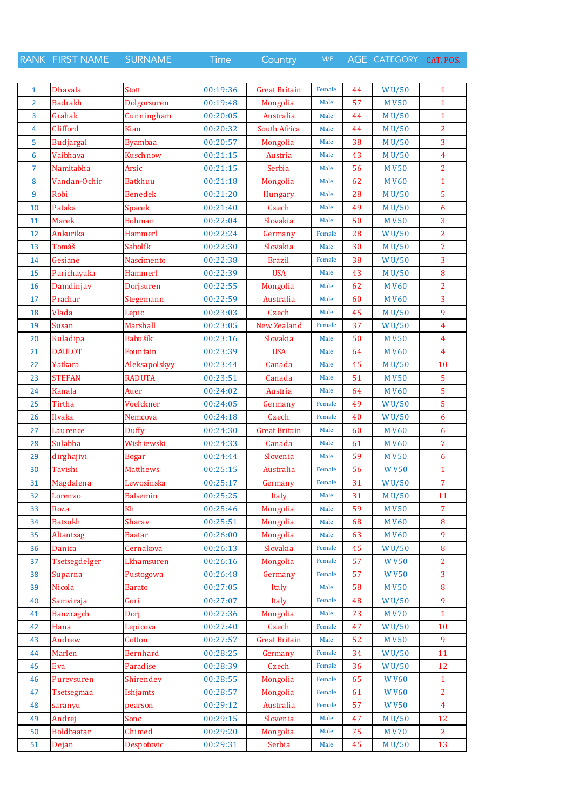RANK FIRST NAME SURNAME Time Country M/F AGE CATEGORY CAT. POS.

| 1              | <b>Dhavala</b>    | Stott           | 00:19:36 | <b>Great Britain</b> | Female | 44 | WU/50        | $\mathbf{1}$   |
|----------------|-------------------|-----------------|----------|----------------------|--------|----|--------------|----------------|
| 2              | <b>Badrakh</b>    | Dolgorsuren     | 00:19:48 | Mongolia             | Male   | 57 | <b>MV50</b>  | $\mathbf{1}$   |
| 3              | Grahak            | Cunningham      | 00:20:05 | Australia            | Male   | 44 | M U/50       | $\mathbf{1}$   |
| 4              | Clifford          | Kian            | 00:20:32 | South Africa         | Male   | 44 | M U/50       | $\overline{2}$ |
| 5              | <b>Budjargal</b>  | <b>Byambaa</b>  | 00:20:57 | Mongolia             | Male   | 38 | M U/50       | 3              |
| 6              | Vaibhava          | Kuschnow        | 00:21:15 | Austria              | Male   | 43 | M U/50       | $\overline{4}$ |
| $\overline{7}$ | Namitabha         | Arsic           | 00:21:15 | Serbia               | Male   | 56 | <b>MV50</b>  | $\overline{2}$ |
| 8              | Vandan-Ochir      | <b>Batkhuu</b>  | 00:21:18 | Mongolia             | Male   | 62 | <b>MV60</b>  | $\mathbf{1}$   |
| 9              | Robi              | <b>Benedek</b>  | 00:21:20 | <b>Hungary</b>       | Male   | 28 | M U/50       | 5              |
| 10             | Pataka            | Spacek          | 00:21:40 | Czech                | Male   | 49 | M U/50       | 6              |
| 11             | <b>Marek</b>      | Bohman          | 00:22:04 | Slovakia             | Male   | 50 | <b>MV50</b>  | 3              |
| 12             | Ankurika          | Hammerl         | 00:22:24 | Germany              | Female | 28 | W $U/50$     | $\overline{2}$ |
| 13             | Tomáš             | Sabolík         | 00:22:30 | Slovakia             | Male   | 30 | M U/50       | $\overline{7}$ |
| 14             | Gesiane           | Nascimento      | 00:22:38 | <b>Brazil</b>        | Female | 38 | WU/50        | 3              |
| 15             | Parichayaka       | Hammerl         | 00:22:39 | <b>USA</b>           | Male   | 43 | M U/50       | 8              |
| 16             | Damdinjav         | Dorjsuren       | 00:22:55 | Mongolia             | Male   | 62 | <b>MV60</b>  | $\overline{2}$ |
| 17             | Prachar           | Stegemann       | 00:22:59 | Australia            | Male   | 60 | <b>MV60</b>  | 3              |
| 18             | Vlada             | Lepic           | 00:23:03 | Czech                | Male   | 45 | M U/50       | 9              |
| 19             | Susan             | Marshall        | 00:23:05 | New Zealand          | Female | 37 | <b>WU/50</b> | 4              |
| 20             | Kuladipa          | Babušík         | 00:23:16 | Slovakia             | Male   | 50 | <b>MV50</b>  | $\overline{4}$ |
| 21             | <b>DAULOT</b>     | Fountain        | 00:23:39 | <b>USA</b>           | Male   | 64 | <b>MV60</b>  | $\overline{4}$ |
| 22             | Yatkara           | Aleksapolskyy   | 00:23:44 | Canada               | Male   | 45 | M U/50       | 10             |
| 23             | <b>STEFAN</b>     | <b>RADUTA</b>   | 00:23:51 | Canada               | Male   | 51 | <b>MV50</b>  | 5              |
|                |                   |                 |          |                      | Male   | 64 |              | $\overline{5}$ |
| 24             | Kanala            | Auer            | 00:24:02 | Austria              |        |    | <b>MV60</b>  | 5              |
| 25             | Tirtha            | Voelckner       | 00:24:05 | Germany              | Female | 49 | WU/50        |                |
| 26             | Ilvaka            | Nemcova         | 00:24:18 | Czech                | Female | 40 | WU/50        | 6              |
| 27             | Laurence          | Duffy           | 00:24:30 | <b>Great Britain</b> | Male   | 60 | <b>MV60</b>  | 6              |
| 28             | Sulabha           | Wishiewski      | 00:24:33 | Canada               | Male   | 61 | M V60        | $\overline{7}$ |
| 29             | dirghajivi        | <b>Bogar</b>    | 00:24:44 | Slovenia             | Male   | 59 | <b>MV50</b>  | 6              |
| 30             | Tavishi           | <b>Matthews</b> | 00:25:15 | Australia            | Female | 56 | <b>WV50</b>  | $\mathbf{1}$   |
| 31             | Magdalena         | Lewosinska      | 00:25:17 | Germany              | Female | 31 | WU/50        | 7              |
| 32             | Lorenzo           | Balsemin        | 00:25:25 | Italy                | Male   | 31 | M U/50       | 11             |
| 33             | <b>Roza</b>       | Kh              | 00:25:46 | Mongolia             | Male   | 59 | <b>MV50</b>  | 7 <sup>1</sup> |
| 34             | <b>Batsukh</b>    | Sharav          | 00:25:51 | Mongolia             | Male   | 68 | <b>MV60</b>  | 8              |
| 35             | Altantsag         | Baatar          | 00:26:00 | Mongolia             | Male   | 63 | <b>MV60</b>  | 9              |
| 36             | Danica            | Cernakova       | 00:26:13 | Slovakia             | Female | 45 | WU/50        | 8              |
| 37             | Tsetsegdelger     | Lkhamsuren      | 00:26:16 | Mongolia             | Female | 57 | <b>WV50</b>  | $\overline{2}$ |
| 38             | <b>Suparna</b>    | Pustogowa       | 00:26:48 | Germany              | Female | 57 | <b>WV50</b>  | 3              |
| 39             | Nicola            | <b>Barato</b>   | 00:27:05 | Italy                | Male   | 58 | <b>MV50</b>  | 8              |
| 40             | Samviraja         | Gori            | 00:27:07 | Italy                | Female | 48 | WU/50        | 9              |
| 41             | <b>Banzragch</b>  | Dori            | 00:27:36 | Mongolia             | Male   | 73 | <b>MV70</b>  | $\mathbf{1}$   |
| 42             | Hana              | Lepicova        | 00:27:40 | Czech                | Female | 47 | WU/50        | 10             |
| 43             | Andrew            | Cotton          | 00:27:57 | <b>Great Britain</b> | Male   | 52 | <b>MV50</b>  | 9              |
| 44             | Marlen            | <b>Bernhard</b> | 00:28:25 | Germany              | Female | 34 | WU/50        | 11             |
| 45             | Eva               | Paradise        | 00:28:39 | Czech                | Female | 36 | WU/50        | 12             |
| 46             | Purevsuren        | Shirendev       | 00:28:55 | Mongolia             | Female | 65 | <b>WV60</b>  | $\mathbf{1}$   |
| 47             | <b>Tsetsegmaa</b> | Ishjamts        | 00:28:57 | Mongolia             | Female | 61 | <b>WV60</b>  | $\overline{2}$ |
| 48             | saranyu           | pearson         | 00:29:12 | Australia            | Female | 57 | <b>WV50</b>  | $\overline{4}$ |
| 49             | Andrej            | Sonc            | 00:29:15 | Slovenia             | Male   | 47 | M U/50       | 12             |
| 50             | <b>Boldbaatar</b> | Chimed          | 00:29:20 | Mongolia             | Male   | 75 | <b>MV70</b>  | $\overline{2}$ |
| 51             | Dejan             | Despotovic      | 00:29:31 | Serbia               | Male   | 45 | M U/50       | 13             |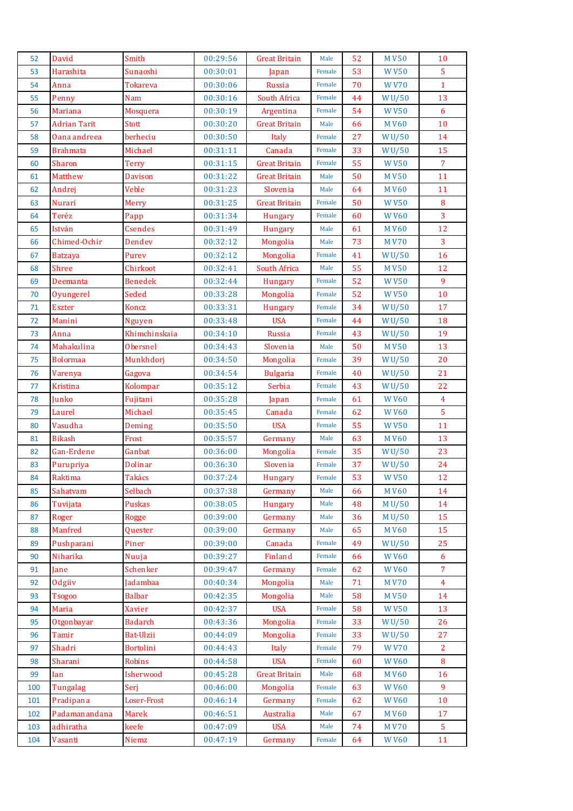| 52       | David               | Smith                | 00:29:56             | <b>Great Britain</b> | Male   | 52       | <b>MV50</b>                 | 10                  |
|----------|---------------------|----------------------|----------------------|----------------------|--------|----------|-----------------------------|---------------------|
| 53       | Harashita           | Sunaoshi             | 00:30:01             | Japan                | Female | 53       | <b>WV50</b>                 | $\overline{5}$      |
| 54       | Anna                | Tokareva             | 00:30:06             | Russia               | Female | 70       | <b>WV70</b>                 | $\mathbf{1}$        |
| 55       | Penny               | Nam                  | 00:30:16             | South Africa         | Female | 44       | <b>WU/50</b>                | 13                  |
| 56       | <b>Mariana</b>      | Mosquera             | 00:30:19             | Argentina            | Female | 54       | <b>WV50</b>                 | 6                   |
| 57       | <b>Adrian Tarit</b> | Stott                | 00:30:20             | <b>Great Britain</b> | Male   | 66       | <b>MV60</b>                 | 10                  |
| 58       | Oana andreea        | berheciu             | 00:30:50             | Italy                | Female | 27       | W <sub>U</sub> /50          | 14                  |
| 59       | <b>Brahmata</b>     | Michael              | 00:31:11             | Canada               | Female | 33       | WU/50                       | 15                  |
| 60       | Sharon              | <b>Terry</b>         | 00:31:15             | <b>Great Britain</b> | Female | 55       | <b>WV50</b>                 | $\overline{7}$      |
| 61       | Matthew             | <b>Davison</b>       | 00:31:22             | <b>Great Britain</b> | Male   | 50       | <b>MV50</b>                 | 11                  |
| 62       | Andrej              | Veble                | 00:31:23             | Slovenia             | Male   | 64       | <b>MV60</b>                 | 11                  |
| 63       | Nurari              | Merry                | 00:31:25             | <b>Great Britain</b> | Female | 50       | <b>WV50</b>                 | $\bf{8}$            |
| 64       | Teréz               | Papp                 | 00:31:34             | Hungary              | Female | 60       | <b>WV60</b>                 | $\overline{3}$      |
| 65       | István              | <b>Csendes</b>       | 00:31:49             | Hungary              | Male   | 61       | <b>MV60</b>                 | 12                  |
| 66       | Chimed-Ochir        | Dendev               | 00:32:12             | Mongolia             | Male   | 73       | <b>MV70</b>                 | $\overline{3}$      |
| 67       | <b>Batzaya</b>      | Purev                | 00:32:12             | Mongolia             | Female | 41       | WU/50                       | 16                  |
| 68       | <b>Shree</b>        | Chirkoot             | 00:32:41             | South Africa         | Male   | 55       | <b>MV50</b>                 | 12                  |
| 69       | Deemanta            | <b>Benedek</b>       | 00:32:44             | <b>Hungary</b>       | Female | 52       | <b>WV50</b>                 | 9                   |
| 70       | Oyungerel           | Seded                | 00:33:28             | Mongolia             | Female | 52       | <b>WV50</b>                 | 10                  |
| 71       | <b>Eszter</b>       | Koncz                | 00:33:31             | Hungary              | Female | 34       | WU/50                       | 17                  |
| 72       | Manini              | <b>Nguyen</b>        | 00:33:48             | <b>USA</b>           | Female | 44       | WU/50                       | 18                  |
| 73       | Anna                | Khimchinskaia        | 00:34:10             | Russia               | Female | 43       | WU/50                       | 19                  |
| 74       | Mahakulina          | <b>Obersnel</b>      | 00:34:43             | Slovenia             | Male   | 50       | <b>MV50</b>                 | 13                  |
| 75       | <b>Bolormaa</b>     | Munkhdorj            | 00:34:50             | Mongolia             | Female | 39       | WU/50                       | 20                  |
| 76       | Varenya             | Gagova               | 00:34:54             | <b>Bulgaria</b>      | Female | 40       | W <sub>U</sub> /50          | 21                  |
| 77       | Kristina            | Kolompar             | 00:35:12             | Serbia               | Female | 43       | WU/50                       | 22                  |
| 78       | Junko               | Fujitani             | 00:35:28             | Japan                | Female | 61       | <b>WV60</b>                 | $\overline{4}$      |
| 79       | Laurel              | Michael              | 00:35:45             | Canada               | Female | 62       | <b>WV60</b>                 | $\overline{5}$      |
| 80       | Vasudha             | Deming               | 00:35:50             | <b>USA</b>           | Female | 55       | <b>WV50</b>                 | 11                  |
| 81       | <b>Bikash</b>       | Frost                | 00:35:57             | Germany              | Male   | 63       | <b>MV60</b>                 | 13                  |
| 82       | Gan-Erdene          | Ganbat               | 00:36:00             | Mongolia             | Female | 35       | WU/50                       | 23                  |
| 83       | Purupriya           | <b>Dolinar</b>       | 00:36:30             | Slovenia             | Female | 37       | WU/50                       | 24                  |
| 84       | Raktima             | Takács               | 00:37:24             | <b>Hungary</b>       | Female | 53       | <b>WV50</b>                 | 12                  |
| 85       | Sahatvam            | Selbach              | 00:37:38             | Germany              | Male   | 66       | <b>MV60</b>                 | 14                  |
| 86       | Tuvijata            | Puskas               | 00:38:05             | Hungary              | Male   | 48       | M U/50                      | 14                  |
| 87       | Roger               | <b>Rogge</b>         | 00:39:00             | Germany              | Male   | 36       | M U/50                      | 15                  |
| 88       | Manfred             | Quester              | 00:39:00             | Germany              | Male   | 65       | <b>MV60</b>                 | 15                  |
| 89       | Pushparani          | Piner                | 00:39:00             | Canada               | Female | 49       | W <sub>U</sub> /50          | 25                  |
| 90       | Niharika            | Nuuja                | 00:39:27             | Finland              | Female | 66       | <b>WV60</b>                 | 6                   |
| 91       | Jane                | Schenker             | 00:39:47             | Germany              | Female | 62       | <b>WV60</b>                 | $\overline{7}$      |
| 92       | Odgiiv              | Jadambaa             | 00:40:34             | Mongolia             | Male   | 71       | <b>MV70</b>                 | $\overline{4}$      |
| 93       | <b>Tsogoo</b>       | <b>Balbar</b>        | 00:42:35             | Mongolia             | Male   | 58       | <b>MV50</b>                 | 14                  |
| 94       | Maria               | <b>Xavier</b>        | 00:42:37             | <b>USA</b>           | Female | 58       | <b>WV50</b>                 | 13                  |
|          |                     |                      |                      |                      | Female |          |                             |                     |
| 95<br>96 | Otgonbayar<br>Tamir | Badarch<br>Bat-Ulzii | 00:43:36<br>00:44:09 | Mongolia             | Female | 33<br>33 | W <sub>U</sub> /50<br>WU/50 | 26<br>27            |
|          |                     |                      |                      | Mongolia             | Female | 79       |                             |                     |
| 97       | Shadri              | Bortolini            | 00:44:43             | Italy<br><b>USA</b>  | Female | 60       | <b>WV70</b>                 | $\overline{2}$<br>8 |
| 98<br>99 | Sharani             | Robins<br>Isherwood  | 00:44:58<br>00:45:28 | <b>Great Britain</b> | Male   | 68       | <b>WV60</b><br><b>MV60</b>  | 16                  |
|          | Ian                 |                      |                      |                      | Female |          |                             | 9                   |
| 100      | Tungalag            | Seri                 | 00:46:00             | Mongolia             |        | 63       | <b>WV60</b>                 |                     |
| 101      | Pradipana           | Loser-Frost          | 00:46:14             | Germany              | Female | 62       | <b>WV60</b>                 | 10                  |
| 102      | Padamanandana       | Marek                | 00:46:51             | Australia            | Male   | 67       | <b>MV60</b>                 | 17                  |
| 103      | adhiratha           | keefe                | 00:47:09             | <b>USA</b>           | Male   | 74       | <b>MV70</b>                 | 5                   |
| 104      | Vasanti             | Niemz                | 00:47:19             | Germany              | Female | 64       | <b>WV60</b>                 | 11                  |